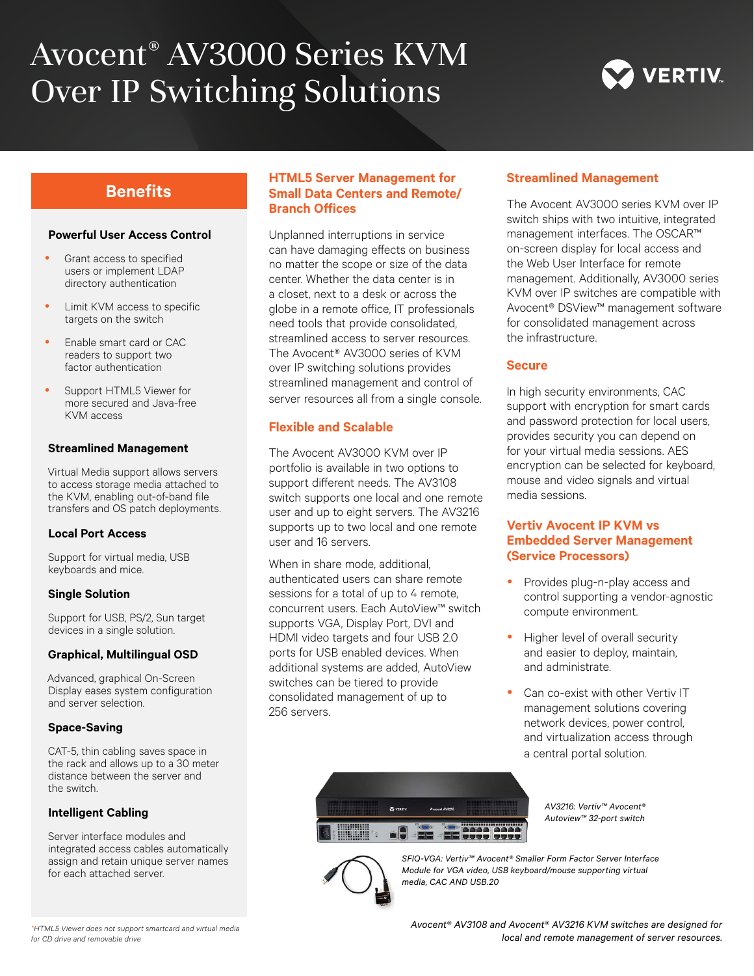# Avocent® AV3000 Series KVM Over IP Switching Solutions



#### **Powerful User Access Control**

- Grant access to specified users or implement LDAP directory authentication
- Limit KVM access to specific targets on the switch
- Enable smart card or CAC readers to support two factor authentication
- Support HTML5 Viewer for more secured and Java-free KVM access

#### **Streamlined Management**

Virtual Media support allows servers to access storage media attached to the KVM, enabling out-of-band file transfers and OS patch deployments.

#### **Local Port Access**

Support for virtual media, USB keyboards and mice.

#### **Single Solution**

Support for USB, PS/2, Sun target devices in a single solution.

#### **Graphical, Multilingual OSD**

Advanced, graphical On-Screen Display eases system configuration and server selection.

#### **Space-Saving**

CAT-5, thin cabling saves space in the rack and allows up to a 30 meter distance between the server and the switch.

#### **Intelligent Cabling**

Server interface modules and integrated access cables automatically assign and retain unique server names for each attached server.

## **Benefits HTML5 Server Management for Small Data Centers and Remote/ Branch Offices**

Unplanned interruptions in service can have damaging effects on business no matter the scope or size of the data center. Whether the data center is in a closet, next to a desk or across the globe in a remote office, IT professionals need tools that provide consolidated, streamlined access to server resources. The Avocent® AV3000 series of KVM over IP switching solutions provides streamlined management and control of server resources all from a single console.

#### **Flexible and Scalable**

The Avocent AV3000 KVM over IP portfolio is available in two options to support different needs. The AV3108 switch supports one local and one remote user and up to eight servers. The AV3216 supports up to two local and one remote user and 16 servers.

When in share mode, additional, authenticated users can share remote sessions for a total of up to 4 remote. concurrent users. Each AutoView™ switch supports VGA, Display Port, DVI and HDMI video targets and four USB 2.0 ports for USB enabled devices. When additional systems are added, AutoView switches can be tiered to provide consolidated management of up to 256 servers.

#### **Streamlined Management**

The Avocent AV3000 series KVM over IP switch ships with two intuitive, integrated management interfaces. The OSCAR™ on-screen display for local access and the Web User Interface for remote management. Additionally, AV3000 series KVM over IP switches are compatible with Avocent® DSView™ management software for consolidated management across the infrastructure.

#### **Secure**

In high security environments, CAC support with encryption for smart cards and password protection for local users, provides security you can depend on for your virtual media sessions. AES encryption can be selected for keyboard, mouse and video signals and virtual media sessions.

#### **Vertiv Avocent IP KVM vs Embedded Server Management (Service Processors)**

- Provides plug-n-play access and control supporting a vendor-agnostic compute environment.
- Higher level of overall security and easier to deploy, maintain, and administrate.
- Can co-exist with other Vertiv IT management solutions covering network devices, power control, and virtualization access through a central portal solution.

*SFIQ-VGA: Vertiv™ Avocent® Smaller Form Factor Server Interface Module for VGA video, USB keyboard/mouse supporting virtual media, CAC AND USB.20*

*for CD drive and removable drive*

*Avocent® AV3108 and Avocent® AV3216 KVM switches are designed for local and remote management of server resources. \*HTML5 Viewer does not support smartcard and virtual media* 

*AV3216: Vertiv™ Avocent® Autoview™ 32-port switch*